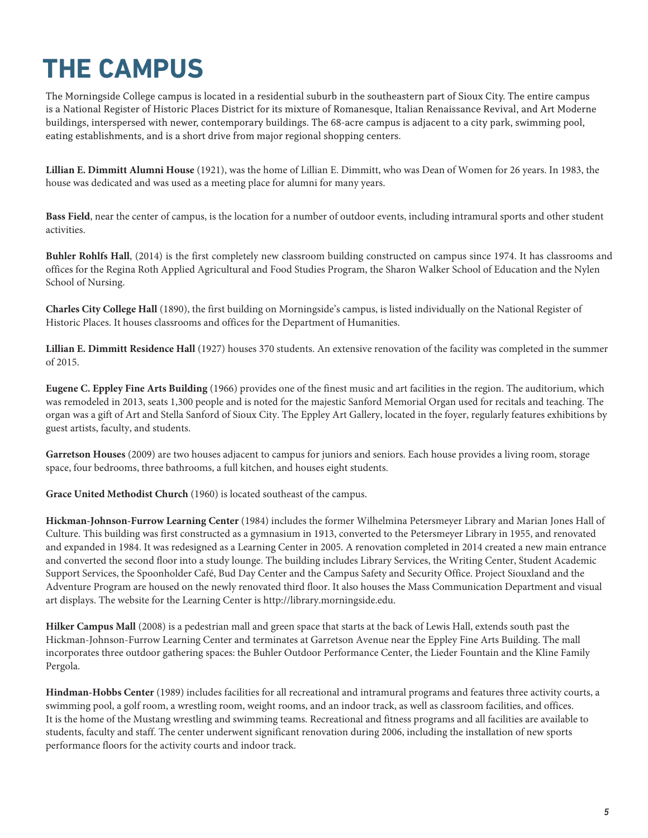## **THE CAMPUS**

The Morningside College campus is located in a residential suburb in the southeastern part of Sioux City. The entire campus is a National Register of Historic Places District for its mixture of Romanesque, Italian Renaissance Revival, and Art Moderne buildings, interspersed with newer, contemporary buildings. The 68-acre campus is adjacent to a city park, swimming pool, eating establishments, and is a short drive from major regional shopping centers.

**Lillian E. Dimmitt Alumni House** (1921), was the home of Lillian E. Dimmitt, who was Dean of Women for 26 years. In 1983, the house was dedicated and was used as a meeting place for alumni for many years.

**Bass Field**, near the center of campus, is the location for a number of outdoor events, including intramural sports and other student activities.

**Buhler Rohlfs Hall**, (2014) is the first completely new classroom building constructed on campus since 1974. It has classrooms and offices for the Regina Roth Applied Agricultural and Food Studies Program, the Sharon Walker School of Education and the Nylen School of Nursing.

**Charles City College Hall** (1890), the first building on Morningside's campus, is listed individually on the National Register of Historic Places. It houses classrooms and offices for the Department of Humanities.

**Lillian E. Dimmitt Residence Hall** (1927) houses 370 students. An extensive renovation of the facility was completed in the summer of 2015.

**Eugene C. Eppley Fine Arts Building** (1966) provides one of the finest music and art facilities in the region. The auditorium, which was remodeled in 2013, seats 1,300 people and is noted for the majestic Sanford Memorial Organ used for recitals and teaching. The organ was a gift of Art and Stella Sanford of Sioux City. The Eppley Art Gallery, located in the foyer, regularly features exhibitions by guest artists, faculty, and students.

**Garretson Houses** (2009) are two houses adjacent to campus for juniors and seniors. Each house provides a living room, storage space, four bedrooms, three bathrooms, a full kitchen, and houses eight students.

**Grace United Methodist Church** (1960) is located southeast of the campus.

**Hickman-Johnson-Furrow Learning Center** (1984) includes the former Wilhelmina Petersmeyer Library and Marian Jones Hall of Culture. This building was first constructed as a gymnasium in 1913, converted to the Petersmeyer Library in 1955, and renovated and expanded in 1984. It was redesigned as a Learning Center in 2005. A renovation completed in 2014 created a new main entrance and converted the second floor into a study lounge. The building includes Library Services, the Writing Center, Student Academic Support Services, the Spoonholder Café, Bud Day Center and the Campus Safety and Security Office. Project Siouxland and the Adventure Program are housed on the newly renovated third floor. It also houses the Mass Communication Department and visual art displays. The website for the Learning Center is http://library.morningside.edu.

**Hilker Campus Mall** (2008) is a pedestrian mall and green space that starts at the back of Lewis Hall, extends south past the Hickman-Johnson-Furrow Learning Center and terminates at Garretson Avenue near the Eppley Fine Arts Building. The mall incorporates three outdoor gathering spaces: the Buhler Outdoor Performance Center, the Lieder Fountain and the Kline Family Pergola.

**Hindman-Hobbs Center** (1989) includes facilities for all recreational and intramural programs and features three activity courts, a swimming pool, a golf room, a wrestling room, weight rooms, and an indoor track, as well as classroom facilities, and offices. It is the home of the Mustang wrestling and swimming teams. Recreational and fitness programs and all facilities are available to students, faculty and staff. The center underwent significant renovation during 2006, including the installation of new sports performance floors for the activity courts and indoor track.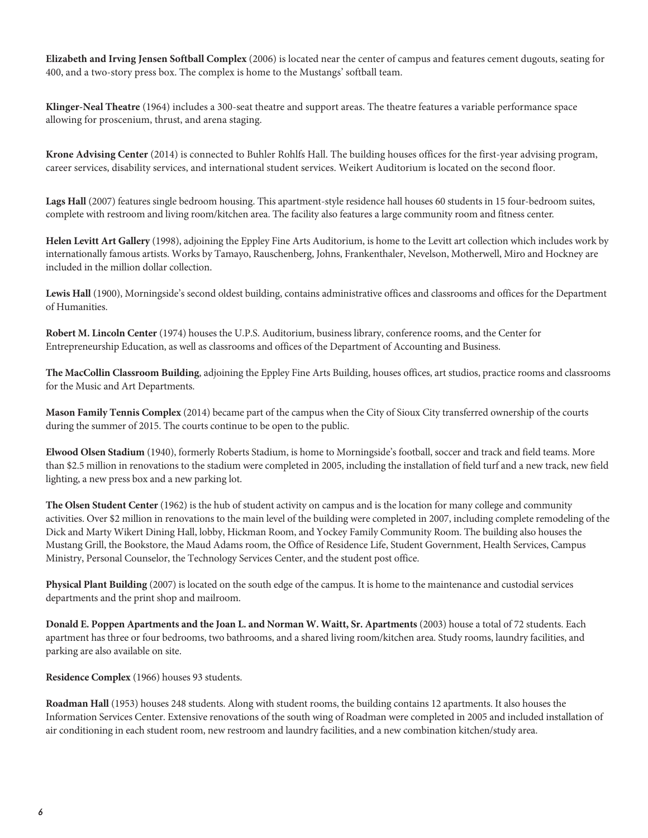**Elizabeth and Irving Jensen Softball Complex** (2006) is located near the center of campus and features cement dugouts, seating for 400, and a two-story press box. The complex is home to the Mustangs' softball team.

**Klinger-Neal Theatre** (1964) includes a 300-seat theatre and support areas. The theatre features a variable performance space allowing for proscenium, thrust, and arena staging.

**Krone Advising Center** (2014) is connected to Buhler Rohlfs Hall. The building houses offices for the first-year advising program, career services, disability services, and international student services. Weikert Auditorium is located on the second floor.

**Lags Hall** (2007) features single bedroom housing. This apartment-style residence hall houses 60 students in 15 four-bedroom suites, complete with restroom and living room/kitchen area. The facility also features a large community room and fitness center.

**Helen Levitt Art Gallery** (1998), adjoining the Eppley Fine Arts Auditorium, is home to the Levitt art collection which includes work by internationally famous artists. Works by Tamayo, Rauschenberg, Johns, Frankenthaler, Nevelson, Motherwell, Miro and Hockney are included in the million dollar collection.

**Lewis Hall** (1900), Morningside's second oldest building, contains administrative offices and classrooms and offices for the Department of Humanities.

**Robert M. Lincoln Center** (1974) houses the U.P.S. Auditorium, business library, conference rooms, and the Center for Entrepreneurship Education, as well as classrooms and offices of the Department of Accounting and Business.

**The MacCollin Classroom Building**, adjoining the Eppley Fine Arts Building, houses offices, art studios, practice rooms and classrooms for the Music and Art Departments.

**Mason Family Tennis Complex** (2014) became part of the campus when the City of Sioux City transferred ownership of the courts during the summer of 2015. The courts continue to be open to the public.

**Elwood Olsen Stadium** (1940), formerly Roberts Stadium, is home to Morningside's football, soccer and track and field teams. More than \$2.5 million in renovations to the stadium were completed in 2005, including the installation of field turf and a new track, new field lighting, a new press box and a new parking lot.

**The Olsen Student Center** (1962) is the hub of student activity on campus and is the location for many college and community activities. Over \$2 million in renovations to the main level of the building were completed in 2007, including complete remodeling of the Dick and Marty Wikert Dining Hall, lobby, Hickman Room, and Yockey Family Community Room. The building also houses the Mustang Grill, the Bookstore, the Maud Adams room, the Office of Residence Life, Student Government, Health Services, Campus Ministry, Personal Counselor, the Technology Services Center, and the student post office.

**Physical Plant Building** (2007) is located on the south edge of the campus. It is home to the maintenance and custodial services departments and the print shop and mailroom.

**Donald E. Poppen Apartments and the Joan L. and Norman W. Waitt, Sr. Apartments** (2003) house a total of 72 students. Each apartment has three or four bedrooms, two bathrooms, and a shared living room/kitchen area. Study rooms, laundry facilities, and parking are also available on site.

**Residence Complex** (1966) houses 93 students.

**Roadman Hall** (1953) houses 248 students. Along with student rooms, the building contains 12 apartments. It also houses the Information Services Center. Extensive renovations of the south wing of Roadman were completed in 2005 and included installation of air conditioning in each student room, new restroom and laundry facilities, and a new combination kitchen/study area.